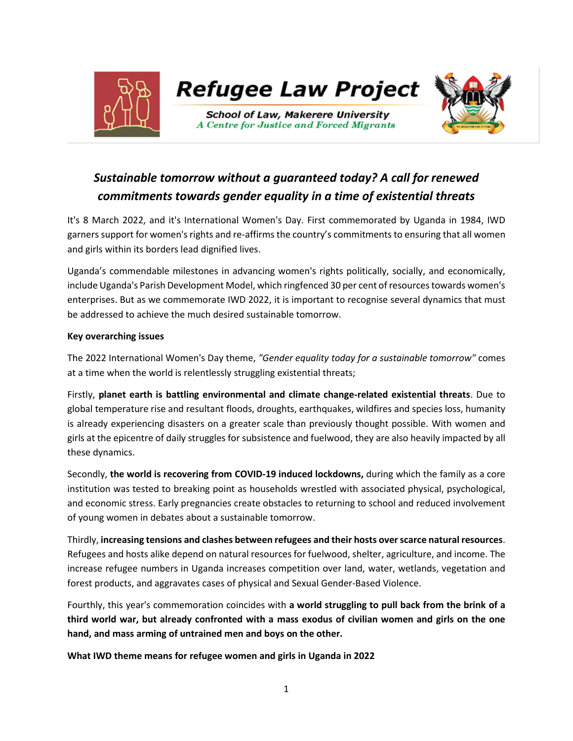

# *Sustainable tomorrow without a guaranteed today? A call for renewed commitments towards gender equality in a time of existential threats*

It's 8 March 2022, and it's International Women's Day. First commemorated by Uganda in 1984, IWD garners support for women's rights and re-affirms the country's commitments to ensuring that all women and girls within its borders lead dignified lives.

Uganda's commendable milestones in advancing women's rights politically, socially, and economically, include Uganda's Parish Development Model, which ringfenced 30 per cent of resources towards women's enterprises. But as we commemorate IWD 2022, it is important to recognise several dynamics that must be addressed to achieve the much desired sustainable tomorrow.

### **Key overarching issues**

The 2022 International Women's Day theme, *"Gender equality today for a sustainable tomorrow"* comes at a time when the world is relentlessly struggling existential threats;

Firstly, **planet earth is battling environmental and climate change-related existential threats**. Due to global temperature rise and resultant floods, droughts, earthquakes, wildfires and species loss, humanity is already experiencing disasters on a greater scale than previously thought possible. With women and girls at the epicentre of daily struggles for subsistence and fuelwood, they are also heavily impacted by all these dynamics.

Secondly, **the world is recovering from COVID-19 induced lockdowns,** during which the family as a core institution was tested to breaking point as households wrestled with associated physical, psychological, and economic stress. Early pregnancies create obstacles to returning to school and reduced involvement of young women in debates about a sustainable tomorrow.

Thirdly, **increasing tensions and clashes between refugees and their hosts over scarce natural resources**. Refugees and hosts alike depend on natural resources for fuelwood, shelter, agriculture, and income. The increase refugee numbers in Uganda increases competition over land, water, wetlands, vegetation and forest products, and aggravates cases of physical and Sexual Gender-Based Violence.

Fourthly, this year's commemoration coincides with **a world struggling to pull back from the brink of a third world war, but already confronted with a mass exodus of civilian women and girls on the one hand, and mass arming of untrained men and boys on the other.**

**What IWD theme means for refugee women and girls in Uganda in 2022**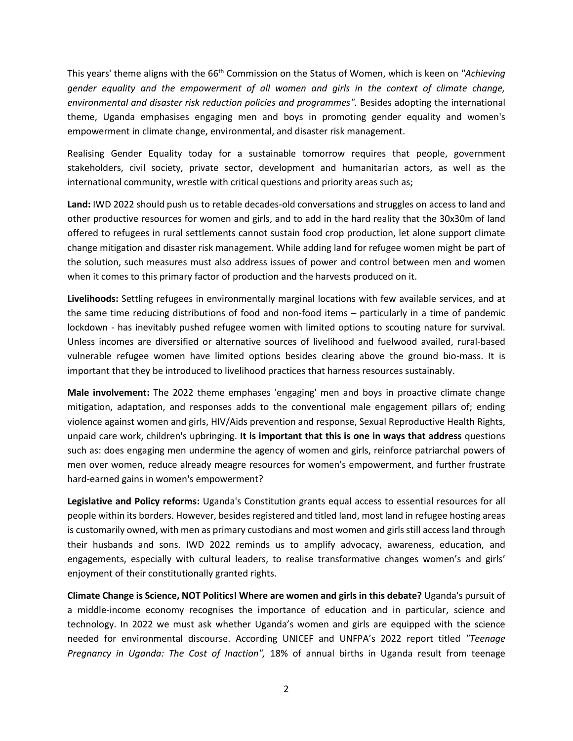This years' theme aligns with the 66th Commission on the Status of Women, which is keen on *"Achieving gender equality and the empowerment of all women and girls in the context of climate change, environmental and disaster risk reduction policies and programmes".* Besides adopting the international theme, Uganda emphasises engaging men and boys in promoting gender equality and women's empowerment in climate change, environmental, and disaster risk management.

Realising Gender Equality today for a sustainable tomorrow requires that people, government stakeholders, civil society, private sector, development and humanitarian actors, as well as the international community, wrestle with critical questions and priority areas such as;

**Land:** IWD 2022 should push us to retable decades-old conversations and struggles on access to land and other productive resources for women and girls, and to add in the hard reality that the 30x30m of land offered to refugees in rural settlements cannot sustain food crop production, let alone support climate change mitigation and disaster risk management. While adding land for refugee women might be part of the solution, such measures must also address issues of power and control between men and women when it comes to this primary factor of production and the harvests produced on it.

**Livelihoods:** Settling refugees in environmentally marginal locations with few available services, and at the same time reducing distributions of food and non-food items – particularly in a time of pandemic lockdown - has inevitably pushed refugee women with limited options to scouting nature for survival. Unless incomes are diversified or alternative sources of livelihood and fuelwood availed, rural-based vulnerable refugee women have limited options besides clearing above the ground bio-mass. It is important that they be introduced to livelihood practices that harness resources sustainably.

**Male involvement:** The 2022 theme emphases 'engaging' men and boys in proactive climate change mitigation, adaptation, and responses adds to the conventional male engagement pillars of; ending violence against women and girls, HIV/Aids prevention and response, Sexual Reproductive Health Rights, unpaid care work, children's upbringing. **It is important that this is one in ways that address** questions such as: does engaging men undermine the agency of women and girls, reinforce patriarchal powers of men over women, reduce already meagre resources for women's empowerment, and further frustrate hard-earned gains in women's empowerment?

**Legislative and Policy reforms:** Uganda's Constitution grants equal access to essential resources for all people within its borders. However, besides registered and titled land, most land in refugee hosting areas is customarily owned, with men as primary custodians and most women and girls still access land through their husbands and sons. IWD 2022 reminds us to amplify advocacy, awareness, education, and engagements, especially with cultural leaders, to realise transformative changes women's and girls' enjoyment of their constitutionally granted rights.

**Climate Change is Science, NOT Politics! Where are women and girls in this debate?** Uganda's pursuit of a middle-income economy recognises the importance of education and in particular, science and technology. In 2022 we must ask whether Uganda's women and girls are equipped with the science needed for environmental discourse. According UNICEF and UNFPA's 2022 report titled *"Teenage Pregnancy in Uganda: The Cost of Inaction",* 18% of annual births in Uganda result from teenage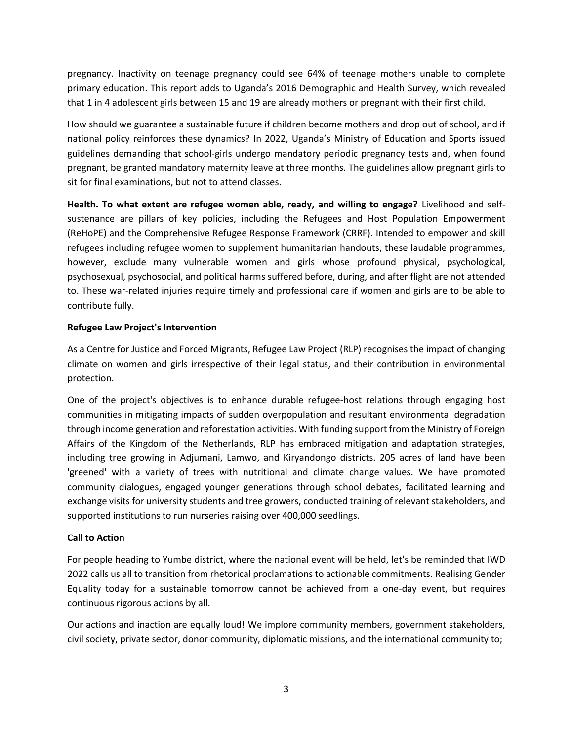pregnancy. Inactivity on teenage pregnancy could see 64% of teenage mothers unable to complete primary education. This report adds to Uganda's 2016 Demographic and Health Survey, which revealed that 1 in 4 adolescent girls between 15 and 19 are already mothers or pregnant with their first child.

How should we guarantee a sustainable future if children become mothers and drop out of school, and if national policy reinforces these dynamics? In 2022, Uganda's Ministry of Education and Sports issued guidelines demanding that school-girls undergo mandatory periodic pregnancy tests and, when found pregnant, be granted mandatory maternity leave at three months. The guidelines allow pregnant girls to sit for final examinations, but not to attend classes.

**Health. To what extent are refugee women able, ready, and willing to engage?** Livelihood and selfsustenance are pillars of key policies, including the Refugees and Host Population Empowerment (ReHoPE) and the Comprehensive Refugee Response Framework (CRRF). Intended to empower and skill refugees including refugee women to supplement humanitarian handouts, these laudable programmes, however, exclude many vulnerable women and girls whose profound physical, psychological, psychosexual, psychosocial, and political harms suffered before, during, and after flight are not attended to. These war-related injuries require timely and professional care if women and girls are to be able to contribute fully.

### **Refugee Law Project's Intervention**

As a Centre for Justice and Forced Migrants, Refugee Law Project (RLP) recognises the impact of changing climate on women and girls irrespective of their legal status, and their contribution in environmental protection.

One of the project's objectives is to enhance durable refugee-host relations through engaging host communities in mitigating impacts of sudden overpopulation and resultant environmental degradation through income generation and reforestation activities. With funding support from the Ministry of Foreign Affairs of the Kingdom of the Netherlands, RLP has embraced mitigation and adaptation strategies, including tree growing in Adjumani, Lamwo, and Kiryandongo districts. 205 acres of land have been 'greened' with a variety of trees with nutritional and climate change values. We have promoted community dialogues, engaged younger generations through school debates, facilitated learning and exchange visits for university students and tree growers, conducted training of relevant stakeholders, and supported institutions to run nurseries raising over 400,000 seedlings.

# **Call to Action**

For people heading to Yumbe district, where the national event will be held, let's be reminded that IWD 2022 calls us all to transition from rhetorical proclamations to actionable commitments. Realising Gender Equality today for a sustainable tomorrow cannot be achieved from a one-day event, but requires continuous rigorous actions by all.

Our actions and inaction are equally loud! We implore community members, government stakeholders, civil society, private sector, donor community, diplomatic missions, and the international community to;